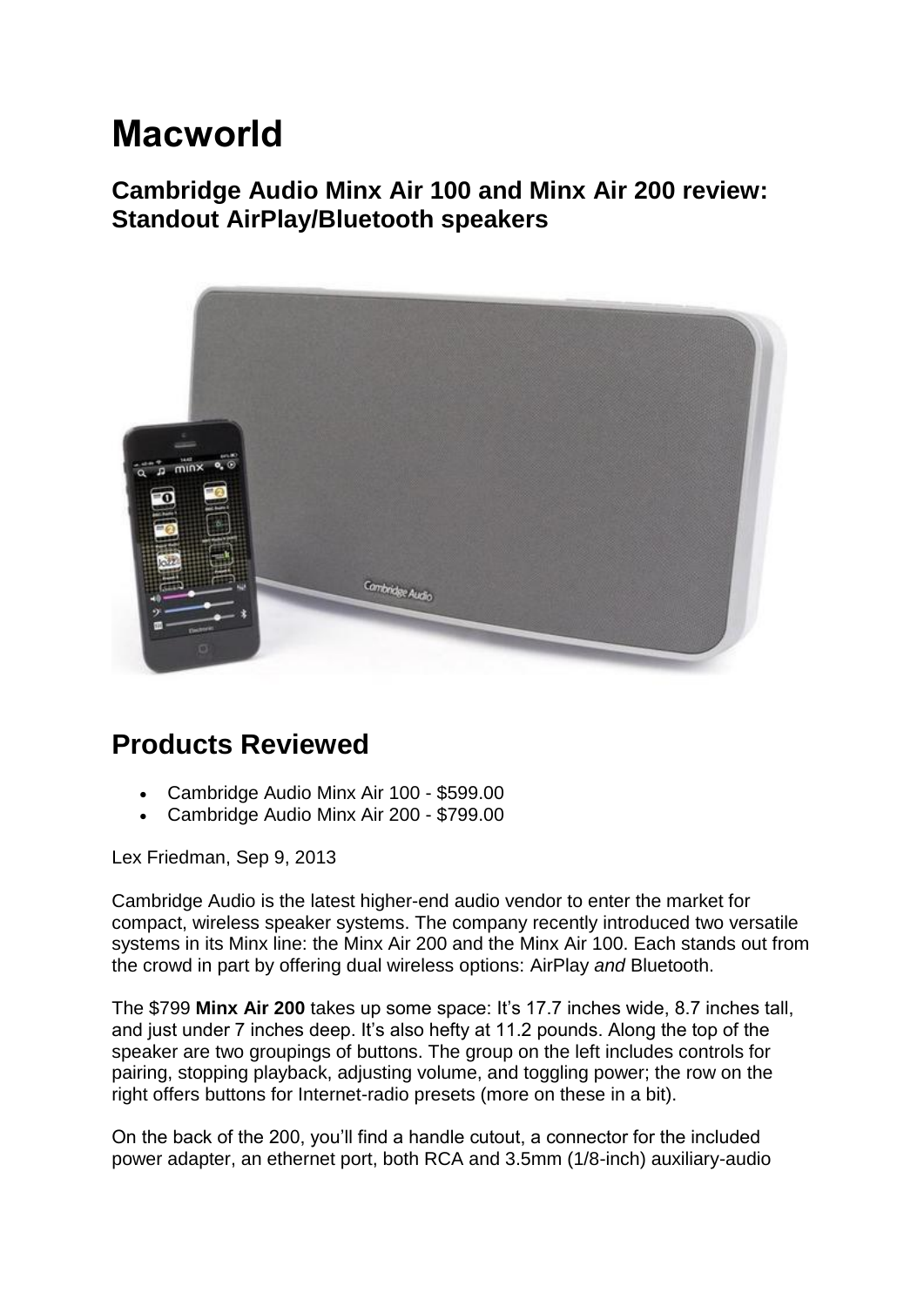## **Macworld**

**Cambridge Audio Minx Air 100 and Minx Air 200 review: Standout AirPlay/Bluetooth speakers**



## **Products Reviewed**

- Cambridge Audio Minx Air 100 \$599.00
- Cambridge Audio Minx Air 200 \$799.00

Lex Friedman, Sep 9, 2013

Cambridge Audio is the latest higher-end audio vendor to enter the market for compact, wireless speaker systems. The company recently introduced two versatile systems in its Minx line: the Minx Air 200 and the Minx Air 100. Each stands out from the crowd in part by offering dual wireless options: [AirPlay](http://www.macworld.com/tag/airplay/) *and* Bluetooth.

The \$799 **Minx Air 200** takes up some space: It's 17.7 inches wide, 8.7 inches tall, and just under 7 inches deep. It's also hefty at 11.2 pounds. Along the top of the speaker are two groupings of buttons. The group on the left includes controls for pairing, stopping playback, adjusting volume, and toggling power; the row on the right offers buttons for Internet-radio presets (more on these in a bit).

On the back of the 200, you'll find a handle cutout, a connector for the included power adapter, an ethernet port, both RCA and 3.5mm (1/8-inch) auxiliary-audio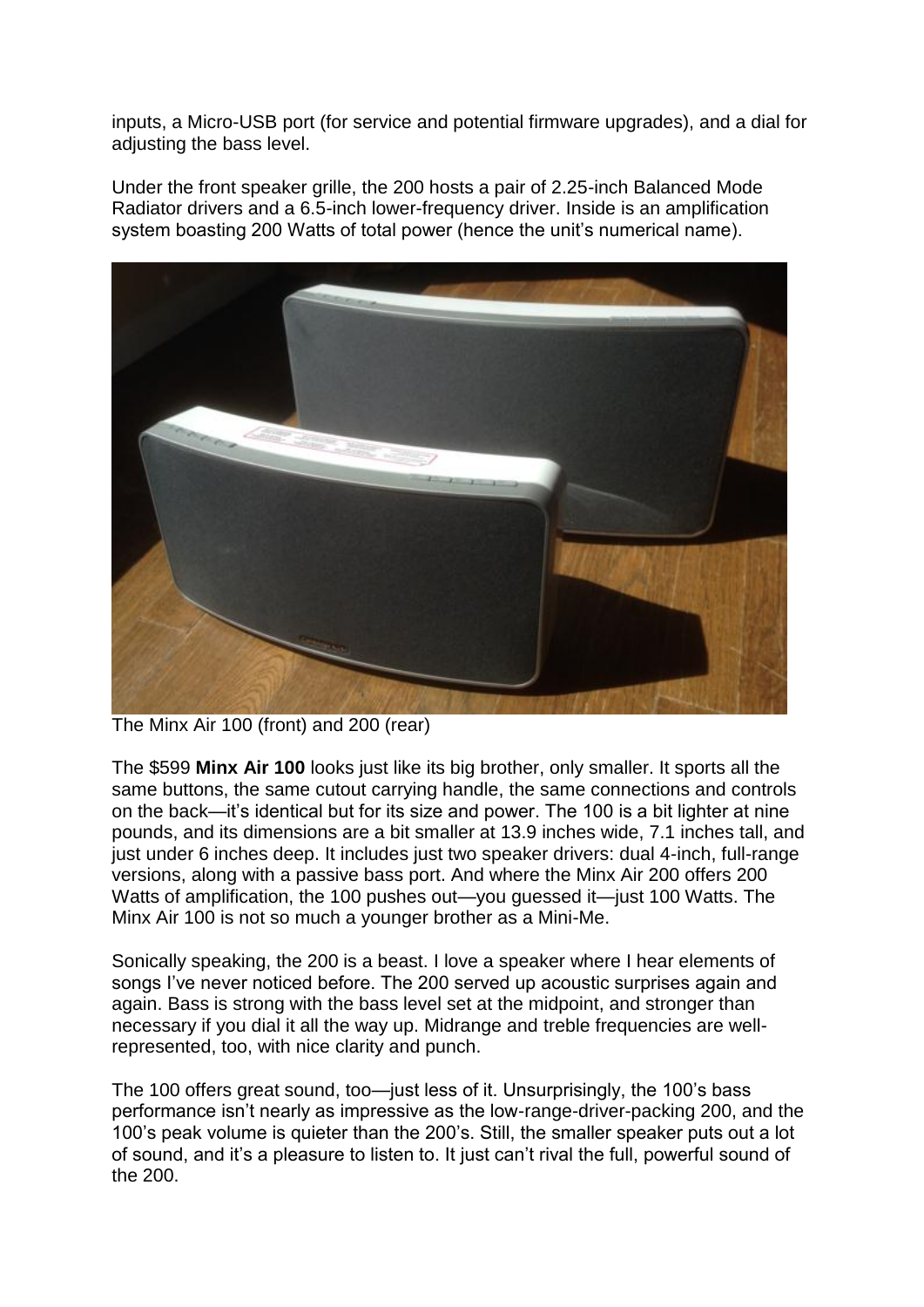inputs, a Micro-USB port (for service and potential firmware upgrades), and a dial for adjusting the bass level.

Under the front speaker grille, the 200 hosts a pair of 2.25-inch Balanced Mode Radiator drivers and a 6.5-inch lower-frequency driver. Inside is an amplification system boasting 200 Watts of total power (hence the unit's numerical name).



The Minx Air 100 (front) and 200 (rear)

The \$599 **Minx Air 100** looks just like its big brother, only smaller. It sports all the same buttons, the same cutout carrying handle, the same connections and controls on the back—it's identical but for its size and power. The 100 is a bit lighter at nine pounds, and its dimensions are a bit smaller at 13.9 inches wide, 7.1 inches tall, and just under 6 inches deep. It includes just two speaker drivers: dual 4-inch, full-range versions, along with a passive bass port. And where the Minx Air 200 offers 200 Watts of amplification, the 100 pushes out—you guessed it—just 100 Watts. The Minx Air 100 is not so much a younger brother as a Mini-Me.

Sonically speaking, the 200 is a beast. I love a speaker where I hear elements of songs I've never noticed before. The 200 served up acoustic surprises again and again. Bass is strong with the bass level set at the midpoint, and stronger than necessary if you dial it all the way up. Midrange and treble frequencies are wellrepresented, too, with nice clarity and punch.

The 100 offers great sound, too—just less of it. Unsurprisingly, the 100's bass performance isn't nearly as impressive as the low-range-driver-packing 200, and the 100's peak volume is quieter than the 200's. Still, the smaller speaker puts out a lot of sound, and it's a pleasure to listen to. It just can't rival the full, powerful sound of the 200.